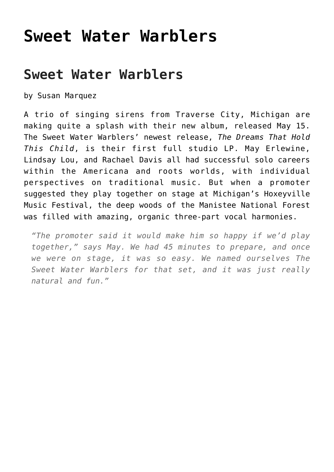## **[Sweet Water Warblers](https://thebluegrassstandard.com/sweet-water-warblers/)**

## **Sweet Water Warblers**

by Susan Marquez

A trio of singing sirens from Traverse City, Michigan are making quite a splash with their new album, released May 15. The Sweet Water Warblers' newest release, *The Dreams That Hold This Child*, is their first full studio LP. May Erlewine, Lindsay Lou, and Rachael Davis all had successful solo careers within the Americana and roots worlds, with individual perspectives on traditional music. But when a promoter suggested they play together on stage at Michigan's Hoxeyville Music Festival, the deep woods of the Manistee National Forest was filled with amazing, organic three-part vocal harmonies.

*"The promoter said it would make him so happy if we'd play together," says May. We had 45 minutes to prepare, and once we were on stage, it was so easy. We named ourselves The Sweet Water Warblers for that set, and it was just really natural and fun."*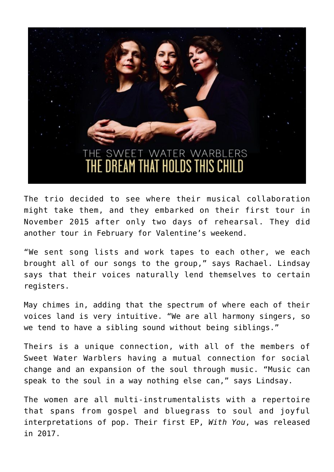

The trio decided to see where their musical collaboration might take them, and they embarked on their first tour in November 2015 after only two days of rehearsal. They did another tour in February for Valentine's weekend.

"We sent song lists and work tapes to each other, we each brought all of our songs to the group," says Rachael. Lindsay says that their voices naturally lend themselves to certain registers.

May chimes in, adding that the spectrum of where each of their voices land is very intuitive. "We are all harmony singers, so we tend to have a sibling sound without being siblings."

Theirs is a unique connection, with all of the members of Sweet Water Warblers having a mutual connection for social change and an expansion of the soul through music. "Music can speak to the soul in a way nothing else can," says Lindsay.

The women are all multi-instrumentalists with a repertoire that spans from gospel and bluegrass to soul and joyful interpretations of pop. Their first EP, *With You*, was released in 2017.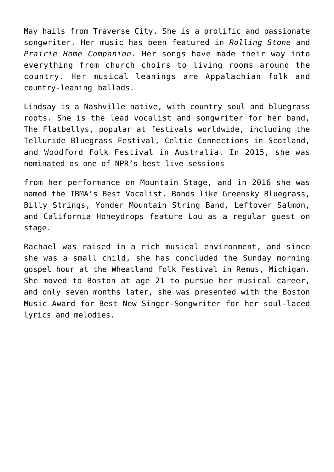May hails from Traverse City. She is a prolific and passionate songwriter. Her music has been featured in *Rolling Stone* and *Prairie Home Companion*. Her songs have made their way into everything from church choirs to living rooms around the country. Her musical leanings are Appalachian folk and country-leaning ballads.

Lindsay is a Nashville native, with country soul and bluegrass roots. She is the lead vocalist and songwriter for her band, The Flatbellys, popular at festivals worldwide, including the Telluride Bluegrass Festival, Celtic Connections in Scotland, and Woodford Folk Festival in Australia. In 2015, she was nominated as one of NPR's best live sessions

from her performance on Mountain Stage, and in 2016 she was named the IBMA's Best Vocalist. Bands like Greensky Bluegrass, Billy Strings, Yonder Mountain String Band, Leftover Salmon, and California Honeydrops feature Lou as a regular guest on stage.

Rachael was raised in a rich musical environment, and since she was a small child, she has concluded the Sunday morning gospel hour at the Wheatland Folk Festival in Remus, Michigan. She moved to Boston at age 21 to pursue her musical career, and only seven months later, she was presented with the Boston Music Award for Best New Singer-Songwriter for her soul-laced lyrics and melodies.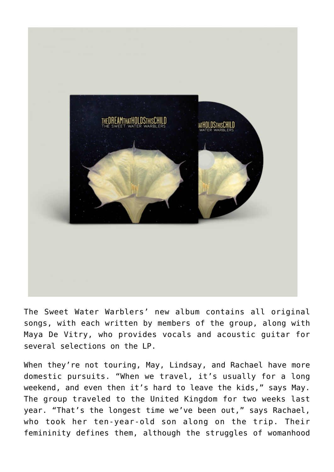

The Sweet Water Warblers' new album contains all original songs, with each written by members of the group, along with Maya De Vitry, who provides vocals and acoustic guitar for several selections on the LP.

When they're not touring, May, Lindsay, and Rachael have more domestic pursuits. "When we travel, it's usually for a long weekend, and even then it's hard to leave the kids," says May. The group traveled to the United Kingdom for two weeks last year. "That's the longest time we've been out," says Rachael, who took her ten-year-old son along on the trip. Their femininity defines them, although the struggles of womanhood